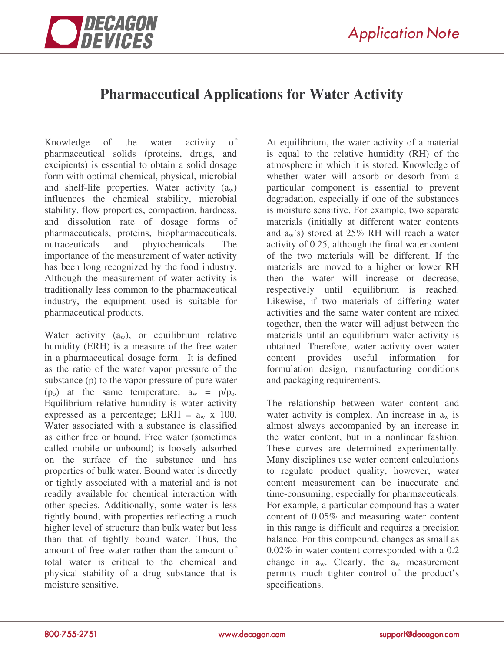



# **Pharmaceutical Applications for Water Activity**

Knowledge of the water activity of pharmaceutical solids (proteins, drugs, and excipients) is essential to obtain a solid dosage form with optimal chemical, physical, microbial and shelf-life properties. Water activity  $(a_w)$ influences the chemical stability, microbial stability, flow properties, compaction, hardness, and dissolution rate of dosage forms of pharmaceuticals, proteins, biopharmaceuticals, nutraceuticals and phytochemicals. The importance of the measurement of water activity has been long recognized by the food industry. Although the measurement of water activity is traditionally less common to the pharmaceutical industry, the equipment used is suitable for pharmaceutical products.

Water activity  $(a_w)$ , or equilibrium relative humidity (ERH) is a measure of the free water in a pharmaceutical dosage form. It is defined as the ratio of the water vapor pressure of the substance (p) to the vapor pressure of pure water  $(p_0)$  at the same temperature;  $a_w = p/p_0$ . Equilibrium relative humidity is water activity expressed as a percentage; ERH =  $a_w$  x 100. Water associated with a substance is classified as either free or bound. Free water (sometimes called mobile or unbound) is loosely adsorbed on the surface of the substance and has properties of bulk water. Bound water is directly or tightly associated with a material and is not readily available for chemical interaction with other species. Additionally, some water is less tightly bound, with properties reflecting a much higher level of structure than bulk water but less than that of tightly bound water. Thus, the amount of free water rather than the amount of total water is critical to the chemical and physical stability of a drug substance that is moisture sensitive.

At equilibrium, the water activity of a material is equal to the relative humidity (RH) of the atmosphere in which it is stored. Knowledge of whether water will absorb or desorb from a particular component is essential to prevent degradation, especially if one of the substances is moisture sensitive. For example, two separate materials (initially at different water contents and  $a_w$ 's) stored at 25% RH will reach a water activity of 0.25, although the final water content of the two materials will be different. If the materials are moved to a higher or lower RH then the water will increase or decrease, respectively until equilibrium is reached. Likewise, if two materials of differing water activities and the same water content are mixed together, then the water will adjust between the materials until an equilibrium water activity is obtained. Therefore, water activity over water content provides useful information for formulation design, manufacturing conditions and packaging requirements.

The relationship between water content and water activity is complex. An increase in  $a_w$  is almost always accompanied by an increase in the water content, but in a nonlinear fashion. These curves are determined experimentally. Many disciplines use water content calculations to regulate product quality, however, water content measurement can be inaccurate and time-consuming, especially for pharmaceuticals. For example, a particular compound has a water content of 0.05% and measuring water content in this range is difficult and requires a precision balance. For this compound, changes as small as 0.02% in water content corresponded with a 0.2 change in  $a_w$ . Clearly, the  $a_w$  measurement permits much tighter control of the product's specifications.